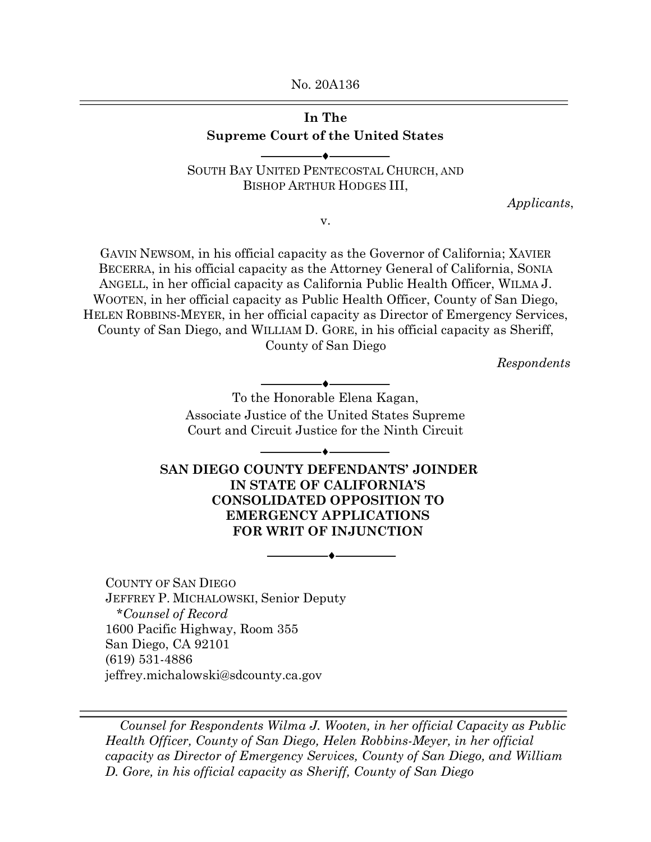No. 20A136

## **In The** Supreme Court of the United States

SOUTH BAY UNITED PENTECOSTAL CHURCH, AND BISHOP ARTHUR HODGES III,

*Applicants*,

v.

GAVIN NEWSOM, in his official capacity as the Governor of California; XAVIER BECERRA, in his official capacity as the Attorney General of California, SONIA ANGELL, in her official capacity as California Public Health Officer, WILMA J. WOOTEN, in her official capacity as Public Health Officer, County of San Diego, HELEN ROBBINS-MEYER, in her official capacity as Director of Emergency Services, County of San Diego, and WILLIAM D. GORE, in his official capacity as Sheriff, County of San Diego

*Respondents*

To the Honorable Elena Kagan, Associate Justice of the United States Supreme Court and Circuit Justice for the Ninth Circuit

-----♦-----

-----♦-----

**SAN DIEGO COUNTY DEFENDANTS' JOINDER IN STATE OF CALIFORNIA'S CONSOLIDATED OPPOSITION TO EMERGENCY APPLICATIONS FOR WRIT OF INJUNCTION** 

-----♦-----

COUNTY OF SAN DIEGO JEFFREY P. MICHALOWSKI, Senior Deputy \**Counsel of Record* 1600 Pacific Highway, Room 355 San Diego, CA 92101 (619) 531-4886 jeffrey.michalowski@sdcounty.ca.gov

*Counsel for Respondents Wilma J. Wooten, in her official Capacity as Public Health Officer, County of San Diego, Helen Robbins-Meyer, in her official capacity as Director of Emergency Services, County of San Diego, and William D. Gore, in his official capacity as Sheriff, County of San Diego*